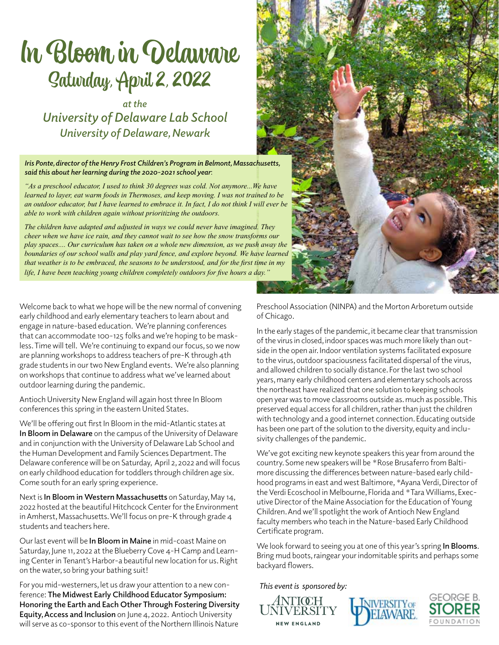# In Bloom in Delaware Saturday, April 2, 2022

*at the University of Delaware Lab School University of Delaware, Newark*

*Iris Ponte, director of the Henry Frost Children's Program in Belmont, Massachusetts, said this about her learning during the 2020-2021 school year*:

*"As a preschool educator, I used to think 30 degrees was cold. Not anymore...We have learned to layer, eat warm foods in Thermoses, and keep moving. I was not trained to be an outdoor educator, but I have learned to embrace it. In fact, I do not think I will ever be able to work with children again without prioritizing the outdoors.*

*The children have adapted and adjusted in ways we could never have imagined. They cheer when we have ice rain, and they cannot wait to see how the snow transforms our play spaces.... Our curriculum has taken on a whole new dimension, as we push away the boundaries of our school walls and play yard fence, and explore beyond. We have learned that weather is to be embraced, the seasons to be understood, and for the first time in my*  life, I have been teaching young children completely outdoors for five hours a day.

Welcome back to what we hope will be the new normal of convening early childhood and early elementary teachers to learn about and engage in nature-based education. We're planning conferences that can accommodate 100-125 folks and we're hoping to be maskless. Time will tell. We're continuing to expand our focus, so we now are planning workshops to address teachers of pre-K through 4th grade students in our two New England events. We're also planning on workshops that continue to address what we've learned about outdoor learning during the pandemic.

Antioch University New England will again host three In Bloom conferences this spring in the eastern United States.

We'll be offering out first In Bloom in the mid-Atlantic states at **In Bloom in Delaware** on the campus of the University of Delaware and in conjunction with the University of Delaware Lab School and the Human Development and Family Sciences Department. The Delaware conference will be on Saturday, April 2, 2022 and will focus on early childhood education for toddlers through children age six. Come south for an early spring experience.

Next is **In Bloom in Western Massachusetts** on Saturday, May 14, 2022 hosted at the beautiful Hitchcock Center for the Environment in Amherst, Massachusetts. We'll focus on pre-K through grade 4 students and teachers here.

Our last event will be **In Bloom in Maine** in mid-coast Maine on Saturday, June 11, 2022 at the Blueberry Cove 4-H Camp and Learning Center in Tenant's Harbor-a beautiful new location for us. Right on the water, so bring your bathing suit!

For you mid-westerners, let us draw your attention to a new conference: **The Midwest Early Childhood Educator Symposium: Honoring the Earth and Each Other Through Fostering Diversity Equity, Access and Inclusion** on June 4, 2022. Antioch University will serve as co-sponsor to this event of the Northern Illinois Nature



Preschool Association (NINPA) and the Morton Arboretum outside of Chicago.

In the early stages of the pandemic, it became clear that transmission of the virus in closed, indoor spaces was much more likely than outside in the open air. Indoor ventilation systems facilitated exposure to the virus, outdoor spaciousness facilitated dispersal of the virus, and allowed children to socially distance. For the last two school years, many early childhood centers and elementary schools across the northeast have realized that one solution to keeping schools open year was to move classrooms outside as. much as possible. This preserved equal access for all children, rather than just the children with technology and a good internet connection. Educating outside has been one part of the solution to the diversity, equity and inclusivity challenges of the pandemic.

We've got exciting new keynote speakers this year from around the country. Some new speakers will be \*Rose Brusaferro from Baltimore discussing the differences between nature-based early childhood programs in east and west Baltimore, \*Ayana Verdi, Director of the Verdi Ecoschool in Melbourne, Florida and \*Tara Williams, Executive Director of the Maine Association for the Education of Young Children. And we'll spotlight the work of Antioch New England faculty members who teach in the Nature-based Early Childhood Certificate program.

We look forward to seeing you at one of this year's spring **In Blooms**. Bring mud boots, raingear your indomitable spirits and perhaps some backyard flowers.

*This event is sponsored by:* 





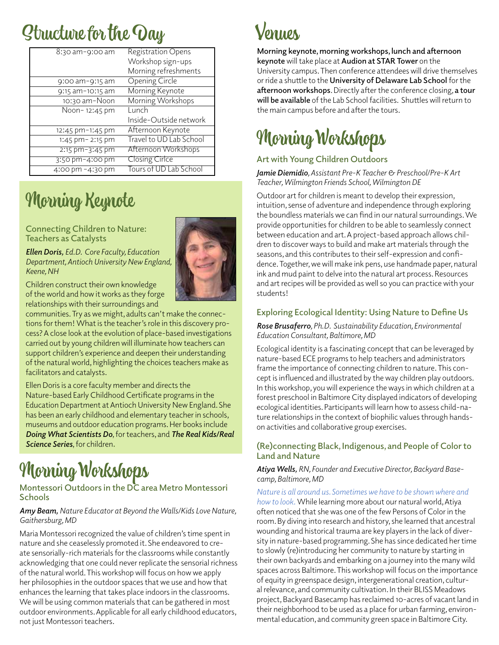## Structure for the Day

| $8:30$ am-9:00 am    | <b>Registration Opens</b> |
|----------------------|---------------------------|
|                      | Workshop sign-ups         |
|                      | Morning refreshments      |
| $9:00$ am- $9:15$ am | <b>Opening Circle</b>     |
| 9:15 am-10:15 am     | Morning Keynote           |
| 10:30 am-Noon        | Morning Workshops         |
| Noon-12:45 pm        | Lunch                     |
|                      | Inside-Outside network    |
| 12:45 pm-1:45 pm     | Afternoon Keynote         |
| 1:45 pm - 2:15 pm    | Travel to UD Lab School   |
| $2:15$ pm-3:45 pm    | Afternoon Workshops       |
| 3:50 pm-4:00 pm      | <b>Closing Cirice</b>     |
| 4:00 pm -4:30 pm     | Tours of UD Lab School    |

### Morning Keynote

### **Connecting Children to Nature: Teachers as Catalysts**

*Ellen Doris, Ed.D. Core Faculty, Education Department, Antioch University New England, Keene, NH*

Children construct their own knowledge of the world and how it works as they forge relationships with their surroundings and

communities. Try as we might, adults can't make the connections for them! What is the teacher's role in this discovery process? A close look at the evolution of place-based investigations carried out by young children will illuminate how teachers can support children's experience and deepen their understanding of the natural world, highlighting the choices teachers make as facilitators and catalysts.

Ellen Doris is a core faculty member and directs the Nature-based Early Childhood Certificate programs in the Education Department at Antioch University New England. She has been an early childhood and elementary teacher in schools, museums and outdoor education programs. Her books include *Doing What Scientists Do*, for teachers, and *The Real Kids/Real Science Series*, for children**.**

## Morning Workshops

### **Montessori Outdoors in the DC area Metro Montessori Schools**

### *Amy Beam, Nature Educator at Beyond the Walls/Kids Love Nature, Gaithersburg, MD*

Maria Montessori recognized the value of children's time spent in nature and she ceaselessly promoted it. She endeavored to create sensorially-rich materials for the classrooms while constantly acknowledging that one could never replicate the sensorial richness of the natural world. This workshop will focus on how we apply her philosophies in the outdoor spaces that we use and how that enhances the learning that takes place indoors in the classrooms. We will be using common materials that can be gathered in most outdoor environments. Applicable for all early childhood educators, not just Montessori teachers.

### lemnos.

**Morning keynote, morning workshops, lunch and afternoon keynote** will take place at **Audion at STAR Tower** on the University campus. Then conference attendees will drive themselves or ride a shuttle to the **University of Delaware Lab School** for the **afternoon workshops**. Directly after the conference closing, **a tour will be available** of the Lab School facilities. Shuttles will return to the main campus before and after the tours.

### Morning Workshops

### **Art with Young Children Outdoors**

*Jamie Diemidio, Assistant Pre-K Teacher & Preschool/Pre-K Art Teacher, Wilmington Friends School, Wilmington DE*

Outdoor art for children is meant to develop their expression, intuition, sense of adventure and independence through exploring the boundless materials we can find in our natural surroundings. We provide opportunities for children to be able to seamlessly connect between education and art. A project-based approach allows children to discover ways to build and make art materials through the seasons, and this contributes to their self-expression and confidence. Together, we will make ink pens, use handmade paper, natural ink and mud paint to delve into the natural art process. Resources and art recipes will be provided as well so you can practice with your students!

### **Exploring Ecological Identity: Using Nature to Define Us**

*Rose Brusaferro, Ph.D. Sustainability Education, Environmental Education Consultant, Baltimore, MD*

Ecological identity is a fascinating concept that can be leveraged by nature-based ECE programs to help teachers and administrators frame the importance of connecting children to nature. This concept is influenced and illustrated by the way children play outdoors. In this workshop, you will experience the ways in which children at a forest preschool in Baltimore City displayed indicators of developing ecological identities. Participants will learn how to assess child-nature relationships in the context of biophilic values through handson activities and collaborative group exercises.

### **(Re)connecting Black, Indigenous, and People of Color to Land and Nature**

### *Atiya Wells, RN, Founder and Executive Director, Backyard Basecamp, Baltimore, MD*

*Nature is all around us. Sometimes we have to be shown where and how to look.* While learning more about our natural world, Atiya often noticed that she was one of the few Persons of Color in the room. By diving into research and history, she learned that ancestral wounding and historical trauma are key players in the lack of diversity in nature-based programming. She has since dedicated her time to slowly (re)introducing her community to nature by starting in their own backyards and embarking on a journey into the many wild spaces across Baltimore. This workshop will focus on the importance of equity in greenspace design, intergenerational creation, cultural relevance, and community cultivation. In their BLISS Meadows project, Backyard Basecamp has reclaimed 10-acres of vacant land in their neighborhood to be used as a place for urban farming, environmental education, and community green space in Baltimore City.

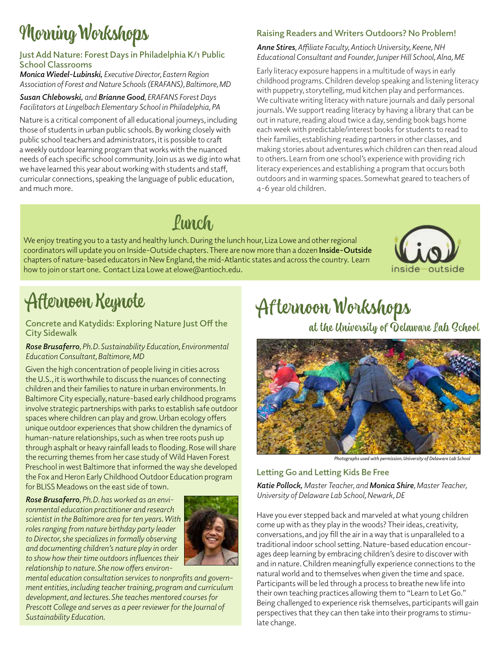## Morning Workshops

### **Just Add Nature: Forest Days in Philadelphia K/1 Public School Classrooms**

*Monica Wiedel-Lubinski, Executive Director, Eastern Region Association of Forest and Nature Schools (ERAFANS), Baltimore, MD*

#### *Susan Chlebowski, and Brianne Good, ERAFANS Forest Days Facilitators at Lingelbach Elementary School in Philadelphia, PA*

Nature is a critical component of all educational journeys, including those of students in urban public schools. By working closely with public school teachers and administrators, it is possible to craft a weekly outdoor learning program that works with the nuanced needs of each specific school community. Join us as we dig into what we have learned this year about working with students and staff, curricular connections, speaking the language of public education, and much more.

### **Raising Readers and Writers Outdoors? No Problem!**

#### *Anne Stires, Affiliate Faculty, Antioch University, Keene, NH Educational Consultant and Founder, Juniper Hill School, Alna, ME*

Early literacy exposure happens in a multitude of ways in early childhood programs. Children develop speaking and listening literacy with puppetry, storytelling, mud kitchen play and performances. We cultivate writing literacy with nature journals and daily personal journals. We support reading literacy by having a library that can be out in nature, reading aloud twice a day, sending book bags home each week with predictable/interest books for students to read to their families, establishing reading partners in other classes, and making stories about adventures which children can then read aloud to others. Learn from one school's experience with providing rich literacy experiences and establishing a program that occurs both outdoors and in warming spaces. Somewhat geared to teachers of 4-6 year old children.

## Punch

We enjoy treating you to a tasty and healthy lunch. During the lunch hour, Liza Lowe and other regional coordinators will update you on Inside-Outside chapters. There are now more than a dozen **Inside-Outside**  chapters of nature-based educators in New England, the mid-Atlantic states and across the country. Learn how to join or start one. Contact Liza Lowe at elowe@antioch.edu.



## Afternoon Keynote

### **Concrete and Katydids: Exploring Nature Just Off the City Sidewalk**

### *Rose Brusaferro, Ph.D. Sustainability Education, Environmental Education Consultant, Baltimore, MD*

Given the high concentration of people living in cities across the U.S., it is worthwhile to discuss the nuances of connecting children and their families to nature in urban environments. In Baltimore City especially, nature-based early childhood programs involve strategic partnerships with parks to establish safe outdoor spaces where children can play and grow. Urban ecology offers unique outdoor experiences that show children the dynamics of human-nature relationships, such as when tree roots push up through asphalt or heavy rainfall leads to flooding. Rose will share the recurring themes from her case study of Wild Haven Forest Preschool in west Baltimore that informed the way she developed the Fox and Heron Early Childhood Outdoor Education program for BLISS Meadows on the east side of town.

*Rose Brusaferro, Ph.D. has worked as an environmental education practitioner and research scientist in the Baltimore area for ten years. With roles ranging from nature birthday party leader to Director, she specializes in formally observing and documenting children's nature play in order to show how their time outdoors influences their relationship to nature. She now offers environ-*



*mental education consultation services to nonprofits and government entities, including teacher training, program and curriculum development, and lectures. She teaches mentored courses for Prescott College and serves as a peer reviewer for the Journal of Sustainability Education.*

## Af ternoon Workshops

at the University of Delaware Lab School



*Photographs used with permission, University of Delaware Lab School*

### **Letting Go and Letting Kids Be Free**

*Katie Pollock, Master Teacher, and Monica Shire, Master Teacher, University of Delaware Lab School, Newark, DE*

Have you ever stepped back and marveled at what young children come up with as they play in the woods? Their ideas, creativity, conversations, and joy fill the air in a way that is unparalleled to a traditional indoor school setting. Nature-based education encourages deep learning by embracing children's desire to discover with and in nature. Children meaningfully experience connections to the natural world and to themselves when given the time and space. Participants will be led through a process to breathe new life into their own teaching practices allowing them to "Learn to Let Go." Being challenged to experience risk themselves, participants will gain perspectives that they can then take into their programs to stimulate change.